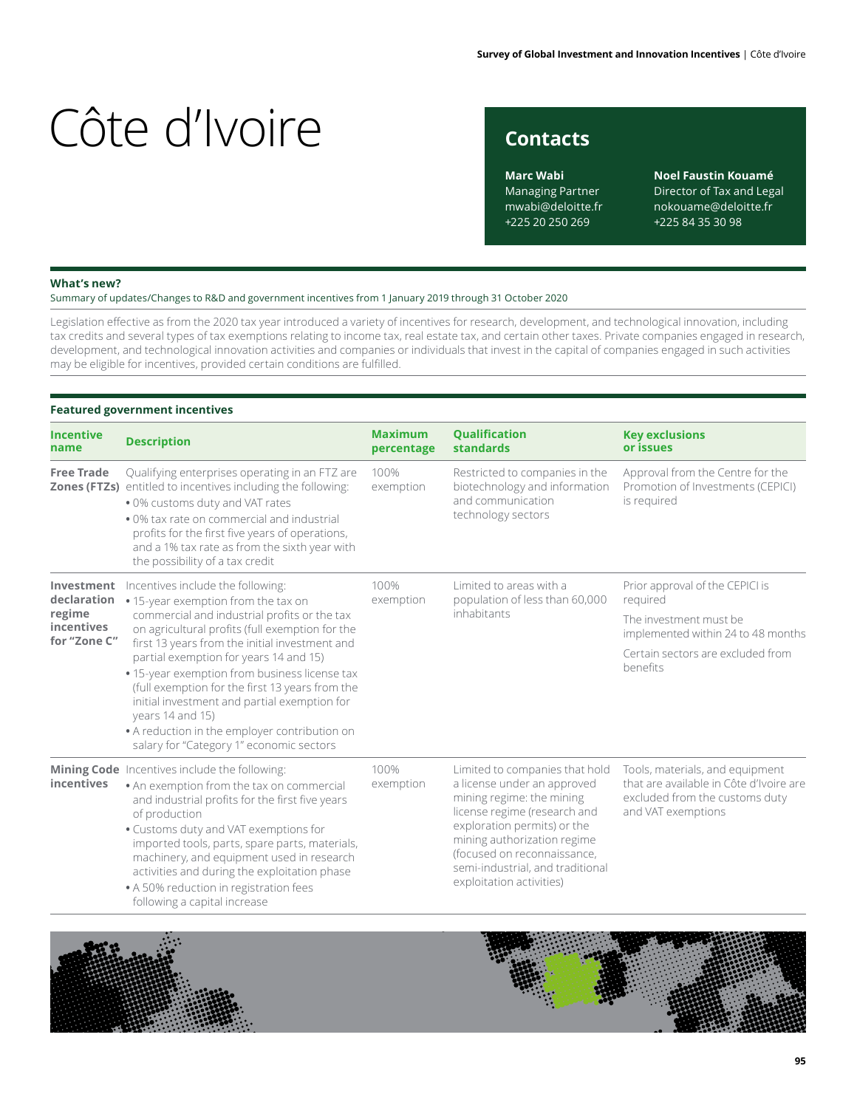## **Contacts**

**Marc Wabi** Managing Partner mwabi@deloitte.fr +225 20 250 269

**Noel Faustin Kouamé** Director of Tax and Legal nokouame@deloitte.fr +225 84 35 30 98

#### **What's new?**

Summary of updates/Changes to R&D and government incentives from 1 January 2019 through 31 October 2020

Legislation effective as from the 2020 tax year introduced a variety of incentives for research, development, and technological innovation, including tax credits and several types of tax exemptions relating to income tax, real estate tax, and certain other taxes. Private companies engaged in research, development, and technological innovation activities and companies or individuals that invest in the capital of companies engaged in such activities may be eligible for incentives, provided certain conditions are fulfilled.

### **Featured government incentives**

| <b>Incentive</b><br>name                                          | <b>Description</b>                                                                                                                                                                                                                                                                                                                                                                                                               | <b>Maximum</b><br>percentage | <b>Qualification</b><br>standards                                                                                                                                                                                                                                                       | <b>Key exclusions</b><br>or issues                                                                                                 |
|-------------------------------------------------------------------|----------------------------------------------------------------------------------------------------------------------------------------------------------------------------------------------------------------------------------------------------------------------------------------------------------------------------------------------------------------------------------------------------------------------------------|------------------------------|-----------------------------------------------------------------------------------------------------------------------------------------------------------------------------------------------------------------------------------------------------------------------------------------|------------------------------------------------------------------------------------------------------------------------------------|
| <b>Free Trade</b>                                                 | Qualifying enterprises operating in an FTZ are<br>Zones (FTZs) entitled to incentives including the following:<br>. 0% customs duty and VAT rates<br>• 0% tax rate on commercial and industrial<br>profits for the first five years of operations,<br>and a 1% tax rate as from the sixth year with<br>the possibility of a tax credit                                                                                           | 100%<br>exemption            | Restricted to companies in the<br>biotechnology and information<br>and communication<br>technology sectors                                                                                                                                                                              | Approval from the Centre for the<br>Promotion of Investments (CEPICI)<br>is required                                               |
| Investment<br>declaration<br>regime<br>incentives<br>for "Zone C" | Incentives include the following:<br>• 15-year exemption from the tax on                                                                                                                                                                                                                                                                                                                                                         | 100%<br>exemption            | Limited to areas with a<br>population of less than 60,000<br>required<br>inhabitants                                                                                                                                                                                                    | Prior approval of the CEPICI is                                                                                                    |
|                                                                   | commercial and industrial profits or the tax<br>on agricultural profits (full exemption for the                                                                                                                                                                                                                                                                                                                                  |                              |                                                                                                                                                                                                                                                                                         | The investment must be<br>implemented within 24 to 48 months                                                                       |
|                                                                   | first 13 years from the initial investment and<br>partial exemption for years 14 and 15)<br>• 15-year exemption from business license tax<br>(full exemption for the first 13 years from the<br>initial investment and partial exemption for<br>years 14 and 15)<br>• A reduction in the employer contribution on<br>salary for "Category 1" economic sectors                                                                    |                              |                                                                                                                                                                                                                                                                                         | Certain sectors are excluded from<br>benefits                                                                                      |
| incentives                                                        | Mining Code Incentives include the following:<br>. An exemption from the tax on commercial<br>and industrial profits for the first five years<br>of production<br>. Customs duty and VAT exemptions for<br>imported tools, parts, spare parts, materials,<br>machinery, and equipment used in research<br>activities and during the exploitation phase<br>• A 50% reduction in registration fees<br>following a capital increase |                              | Limited to companies that hold<br>a license under an approved<br>mining regime: the mining<br>license regime (research and<br>exploration permits) or the<br>mining authorization regime<br>(focused on reconnaissance,<br>semi-industrial, and traditional<br>exploitation activities) | Tools, materials, and equipment<br>that are available in Côte d'Ivoire are<br>excluded from the customs duty<br>and VAT exemptions |



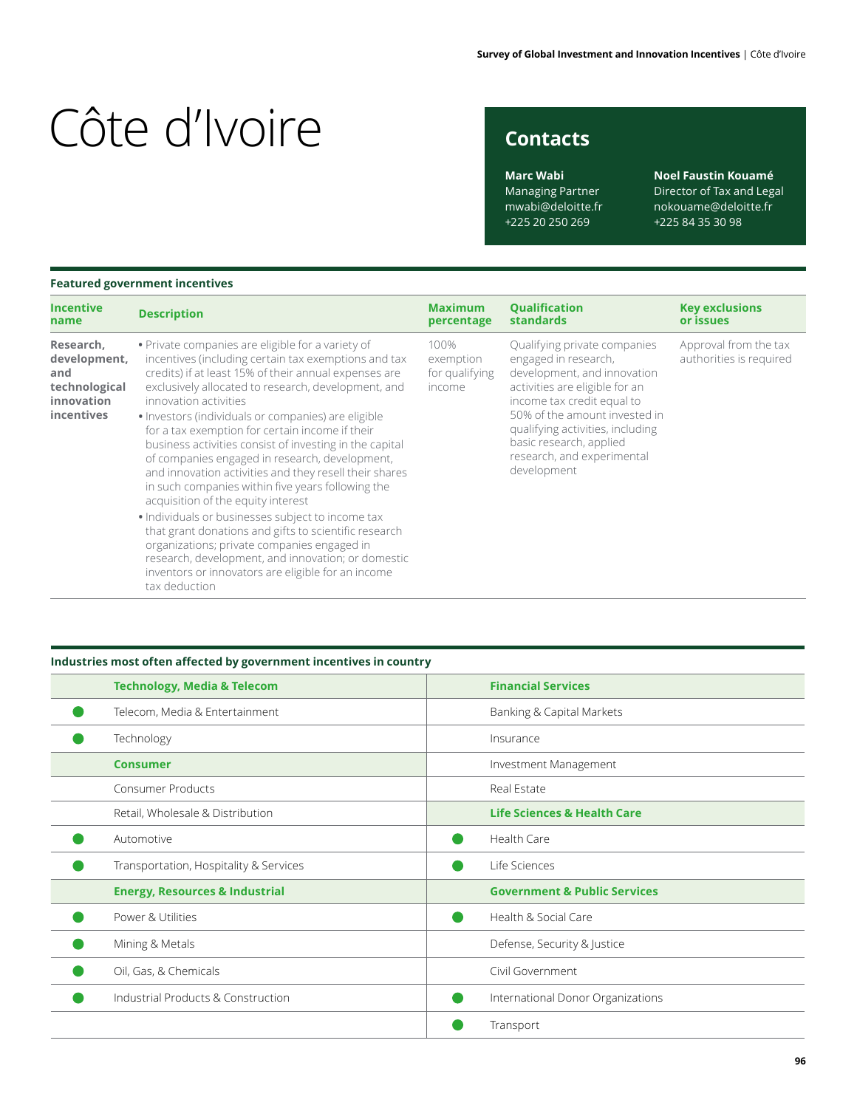# **Contacts**

**Marc Wabi** Managing Partner mwabi@deloitte.fr +225 20 250 269

**Noel Faustin Kouamé** Director of Tax and Legal nokouame@deloitte.fr +225 84 35 30 98

### **Featured government incentives**

| <b>Incentive</b>                                                              | <b>Description</b>                                                                                                                                                                                                                                                                                                                                                                                                                                                                                                                                                                                                                                                                                                                                                                                                                                                                                                       | <b>Maximum</b>                                | <b>Qualification</b>                                                                                                                                                                                                                                                                             | <b>Key exclusions</b>                            |
|-------------------------------------------------------------------------------|--------------------------------------------------------------------------------------------------------------------------------------------------------------------------------------------------------------------------------------------------------------------------------------------------------------------------------------------------------------------------------------------------------------------------------------------------------------------------------------------------------------------------------------------------------------------------------------------------------------------------------------------------------------------------------------------------------------------------------------------------------------------------------------------------------------------------------------------------------------------------------------------------------------------------|-----------------------------------------------|--------------------------------------------------------------------------------------------------------------------------------------------------------------------------------------------------------------------------------------------------------------------------------------------------|--------------------------------------------------|
| name                                                                          |                                                                                                                                                                                                                                                                                                                                                                                                                                                                                                                                                                                                                                                                                                                                                                                                                                                                                                                          | percentage                                    | <b>standards</b>                                                                                                                                                                                                                                                                                 | or issues                                        |
| Research,<br>development,<br>and<br>technological<br>innovation<br>incentives | • Private companies are eligible for a variety of<br>incentives (including certain tax exemptions and tax<br>credits) if at least 15% of their annual expenses are<br>exclusively allocated to research, development, and<br>innovation activities<br>• Investors (individuals or companies) are eligible<br>for a tax exemption for certain income if their<br>business activities consist of investing in the capital<br>of companies engaged in research, development,<br>and innovation activities and they resell their shares<br>in such companies within five years following the<br>acquisition of the equity interest<br>. Individuals or businesses subject to income tax<br>that grant donations and gifts to scientific research<br>organizations; private companies engaged in<br>research, development, and innovation; or domestic<br>inventors or innovators are eligible for an income<br>tax deduction | 100%<br>exemption<br>for qualifying<br>income | Qualifying private companies<br>engaged in research,<br>development, and innovation<br>activities are eligible for an<br>income tax credit equal to<br>50% of the amount invested in<br>qualifying activities, including<br>basic research, applied<br>research, and experimental<br>development | Approval from the tax<br>authorities is required |

### **Industries most often affected by government incentives in country**

| <b>Technology, Media &amp; Telecom</b>    | <b>Financial Services</b>               |
|-------------------------------------------|-----------------------------------------|
| Telecom, Media & Entertainment            | Banking & Capital Markets               |
| Technology                                | Insurance                               |
| <b>Consumer</b>                           | Investment Management                   |
| <b>Consumer Products</b>                  | Real Estate                             |
| Retail, Wholesale & Distribution          | <b>Life Sciences &amp; Health Care</b>  |
| Automotive                                | <b>Health Care</b>                      |
| Transportation, Hospitality & Services    | Life Sciences                           |
| <b>Energy, Resources &amp; Industrial</b> | <b>Government &amp; Public Services</b> |
| Power & Utilities                         | Health & Social Care                    |
| Mining & Metals                           | Defense, Security & Justice             |
| Oil, Gas, & Chemicals                     | Civil Government                        |
| Industrial Products & Construction        | International Donor Organizations       |
|                                           | Transport                               |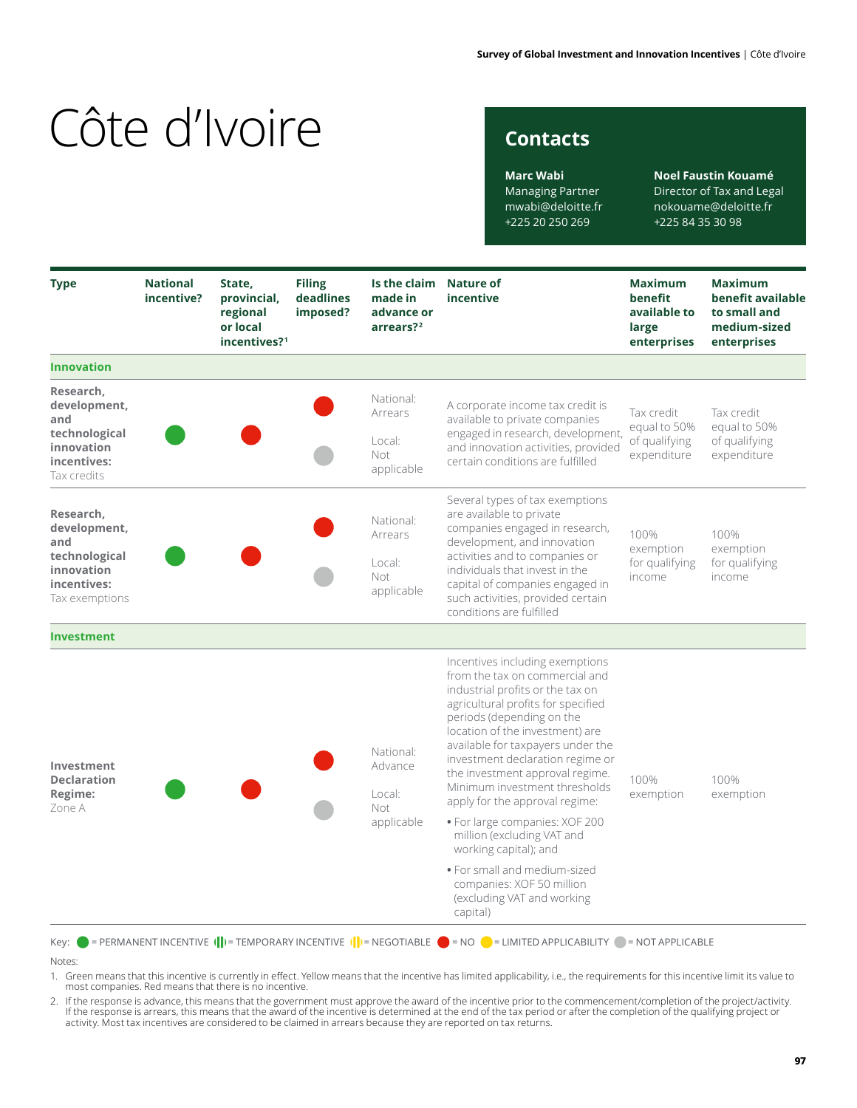## **Contacts**

**Marc Wabi** Managing Partner mwabi@deloitte.fr +225 20 250 269

**Noel Faustin Kouamé** Director of Tax and Legal nokouame@deloitte.fr +225 84 35 30 98

| <b>Type</b>                                                                                      | <b>National</b><br>incentive? | State,<br>provincial,<br>regional<br>or local<br>incentives? <sup>1</sup> | <b>Filing</b><br>deadlines<br>imposed? | Is the claim Nature of<br>made in<br>advance or<br>arrears? <sup>2</sup> | incentive                                                                                                                                                                                                                                                                                                                                                                                  | <b>Maximum</b><br>benefit<br>available to<br>large<br>enterprises | <b>Maximum</b><br>benefit available<br>to small and<br>medium-sized<br>enterprises |
|--------------------------------------------------------------------------------------------------|-------------------------------|---------------------------------------------------------------------------|----------------------------------------|--------------------------------------------------------------------------|--------------------------------------------------------------------------------------------------------------------------------------------------------------------------------------------------------------------------------------------------------------------------------------------------------------------------------------------------------------------------------------------|-------------------------------------------------------------------|------------------------------------------------------------------------------------|
| <b>Innovation</b>                                                                                |                               |                                                                           |                                        |                                                                          |                                                                                                                                                                                                                                                                                                                                                                                            |                                                                   |                                                                                    |
| Research,<br>development,<br>and<br>technological<br>innovation<br>incentives:<br>Tax credits    |                               |                                                                           |                                        | National:<br>Arrears<br>Local:<br>Not<br>applicable                      | A corporate income tax credit is<br>available to private companies<br>engaged in research, development,<br>and innovation activities, provided<br>certain conditions are fulfilled                                                                                                                                                                                                         | Tax credit<br>equal to 50%<br>of qualifying<br>expenditure        | Tax credit<br>equal to 50%<br>of qualifying<br>expenditure                         |
| Research,<br>development,<br>and<br>technological<br>innovation<br>incentives:<br>Tax exemptions |                               |                                                                           |                                        | National:<br>Arrears<br>Local:<br>Not<br>applicable                      | Several types of tax exemptions<br>are available to private<br>companies engaged in research,<br>development, and innovation<br>activities and to companies or<br>individuals that invest in the<br>capital of companies engaged in<br>such activities, provided certain<br>conditions are fulfilled                                                                                       | 100%<br>exemption<br>for qualifying<br>income                     | 100%<br>exemption<br>for qualifying<br>income                                      |
| <b>Investment</b>                                                                                |                               |                                                                           |                                        |                                                                          |                                                                                                                                                                                                                                                                                                                                                                                            |                                                                   |                                                                                    |
| Investment<br><b>Declaration</b><br>Regime:<br>Zone A                                            |                               |                                                                           |                                        | National:<br>Advance<br>Local:<br>Not                                    | Incentives including exemptions<br>from the tax on commercial and<br>industrial profits or the tax on<br>agricultural profits for specified<br>periods (depending on the<br>location of the investment) are<br>available for taxpayers under the<br>investment declaration regime or<br>the investment approval regime.<br>Minimum investment thresholds<br>apply for the approval regime: | 100%<br>exemption                                                 | 100%<br>exemption                                                                  |
|                                                                                                  |                               |                                                                           |                                        | applicable                                                               | · For large companies: XOF 200<br>million (excluding VAT and<br>working capital); and                                                                                                                                                                                                                                                                                                      |                                                                   |                                                                                    |
|                                                                                                  |                               |                                                                           |                                        |                                                                          | · For small and medium-sized<br>companies: XOF 50 million<br>(excluding VAT and working<br>capital)                                                                                                                                                                                                                                                                                        |                                                                   |                                                                                    |

#### Notes:

1. Green means that this incentive is currently in effect. Yellow means that the incentive has limited applicability, i.e., the requirements for this incentive limit its value to<br>most companies. Red means that there is no

. If the response is advance, this means that the government must approve the award of the incentive prior to the commencement/completion of the project/activity.<br>If the response is arrears, this means that the award of th activity. Most tax incentives are considered to be claimed in arrears because they are reported on tax returns.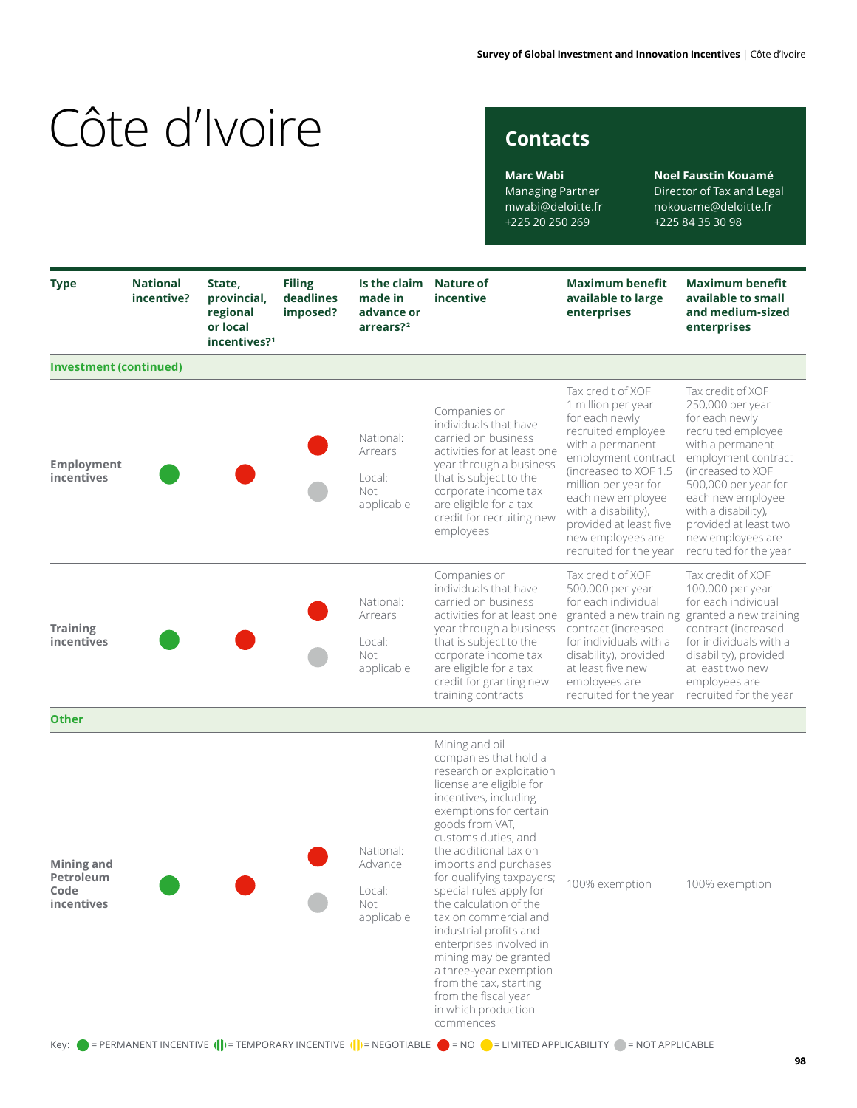## **Contacts**

**Marc Wabi** Managing Partner mwabi@deloitte.fr +225 20 250 269

**Noel Faustin Kouamé** Director of Tax and Legal nokouame@deloitte.fr +225 84 35 30 98

| <b>Type</b>                                                  | <b>National</b><br>incentive? | State,<br>provincial,<br>regional<br>or local<br>incentives? <sup>1</sup> | <b>Filing</b><br>deadlines<br>imposed? | Is the claim Nature of<br>made in<br>advance or<br>arrears? <sup>2</sup> | incentive                                                                                                                                                                                                                                                                                                                                                                                                                                                                                                                                                                                                                                                                                                           | <b>Maximum benefit</b><br>available to large<br>enterprises                                                                                                                                                                                                                                       | <b>Maximum benefit</b><br>available to small<br>and medium-sized<br>enterprises                                                                                                                                                                                                           |
|--------------------------------------------------------------|-------------------------------|---------------------------------------------------------------------------|----------------------------------------|--------------------------------------------------------------------------|---------------------------------------------------------------------------------------------------------------------------------------------------------------------------------------------------------------------------------------------------------------------------------------------------------------------------------------------------------------------------------------------------------------------------------------------------------------------------------------------------------------------------------------------------------------------------------------------------------------------------------------------------------------------------------------------------------------------|---------------------------------------------------------------------------------------------------------------------------------------------------------------------------------------------------------------------------------------------------------------------------------------------------|-------------------------------------------------------------------------------------------------------------------------------------------------------------------------------------------------------------------------------------------------------------------------------------------|
| <b>Investment (continued)</b>                                |                               |                                                                           |                                        |                                                                          |                                                                                                                                                                                                                                                                                                                                                                                                                                                                                                                                                                                                                                                                                                                     |                                                                                                                                                                                                                                                                                                   |                                                                                                                                                                                                                                                                                           |
| <b>Employment</b><br>incentives                              |                               |                                                                           |                                        | National:<br>Arrears<br>Local:<br><b>Not</b><br>applicable               | Companies or<br>individuals that have<br>carried on business<br>activities for at least one<br>year through a business<br>that is subject to the<br>corporate income tax<br>are eligible for a tax<br>credit for recruiting new<br>employees                                                                                                                                                                                                                                                                                                                                                                                                                                                                        | Tax credit of XOF<br>1 million per year<br>for each newly<br>recruited employee<br>with a permanent<br>employment contract<br>(increased to XOF 1.5)<br>million per year for<br>each new employee<br>with a disability),<br>provided at least five<br>new employees are<br>recruited for the year | Tax credit of XOF<br>250,000 per year<br>for each newly<br>recruited employee<br>with a permanent<br>employment contract<br>(increased to XOF<br>500,000 per year for<br>each new employee<br>with a disability),<br>provided at least two<br>new employees are<br>recruited for the year |
| <b>Training</b><br><b>incentives</b>                         |                               |                                                                           |                                        | National:<br>Arrears<br>Local:<br>Not<br>applicable                      | Companies or<br>individuals that have<br>carried on business<br>activities for at least one<br>year through a business<br>that is subject to the<br>corporate income tax<br>are eligible for a tax<br>credit for granting new<br>training contracts                                                                                                                                                                                                                                                                                                                                                                                                                                                                 | Tax credit of XOF<br>500,000 per year<br>for each individual<br>contract (increased<br>for individuals with a<br>disability), provided<br>at least five new<br>employees are<br>recruited for the year                                                                                            | Tax credit of XOF<br>100,000 per year<br>for each individual<br>granted a new training granted a new training<br>contract (increased<br>for individuals with a<br>disability), provided<br>at least two new<br>employees are<br>recruited for the year                                    |
| <b>Other</b>                                                 |                               |                                                                           |                                        |                                                                          |                                                                                                                                                                                                                                                                                                                                                                                                                                                                                                                                                                                                                                                                                                                     |                                                                                                                                                                                                                                                                                                   |                                                                                                                                                                                                                                                                                           |
| <b>Mining and</b><br>Petroleum<br>Code<br>incentives<br>Key: |                               |                                                                           |                                        | National:<br>Advance<br>Local:<br>Not<br>applicable                      | Mining and oil<br>companies that hold a<br>research or exploitation<br>license are eligible for<br>incentives, including<br>exemptions for certain<br>goods from VAT,<br>customs duties, and<br>the additional tax on<br>imports and purchases<br>for qualifying taxpayers;<br>special rules apply for<br>the calculation of the<br>tax on commercial and<br>industrial profits and<br>enterprises involved in<br>mining may be granted<br>a three-year exemption<br>from the tax, starting<br>from the fiscal year<br>in which production<br>commences<br>EXERMANENT INCENTIVE ( $  $ ) = TEMPORARY INCENTIVE ( $  $ ) = NEGOTIABLE $\bigcirc$ = NO $\bigcirc$ = LIMITED APPLICABILITY $\bigcirc$ = NOT APPLICABLE | 100% exemption                                                                                                                                                                                                                                                                                    | 100% exemption                                                                                                                                                                                                                                                                            |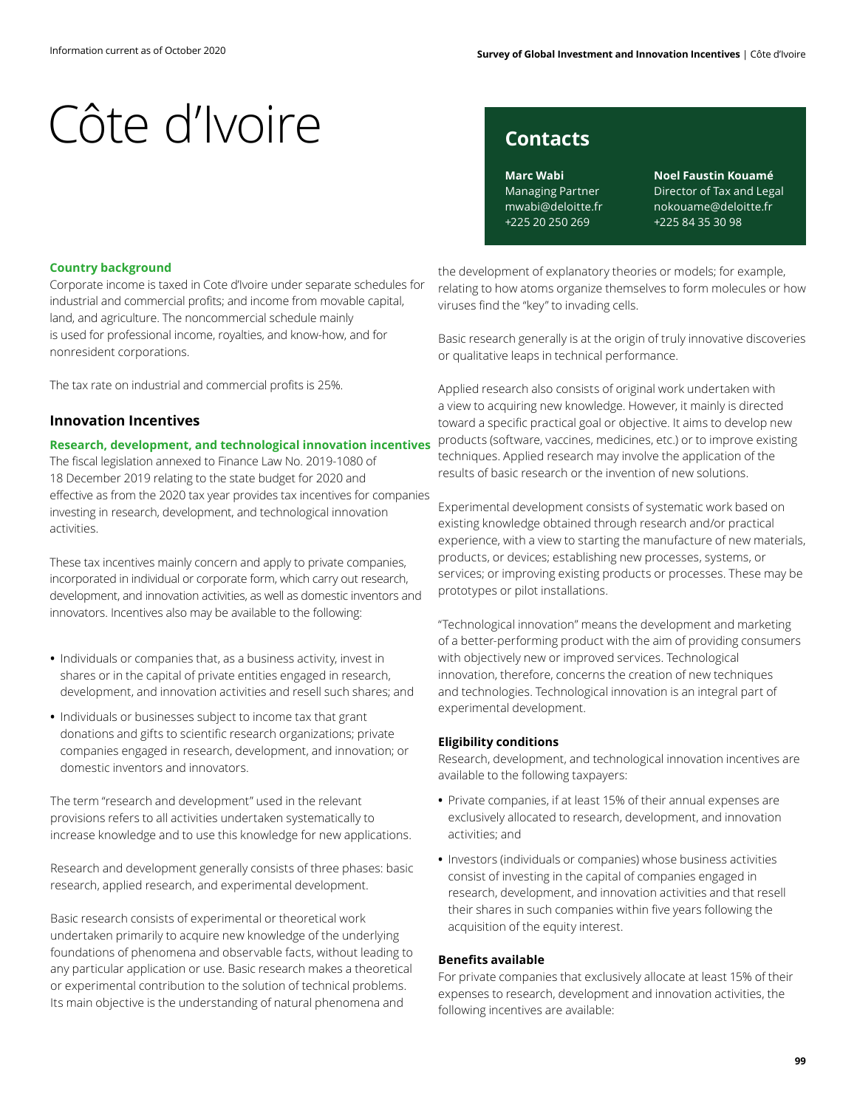## **Contacts**

**Marc Wabi** Managing Partner mwabi@deloitte.fr +225 20 250 269

**Noel Faustin Kouamé** Director of Tax and Legal nokouame@deloitte.fr +225 84 35 30 98

### **Country background**

Corporate income is taxed in Cote d'Ivoire under separate schedules for industrial and commercial profits; and income from movable capital, land, and agriculture. The noncommercial schedule mainly is used for professional income, royalties, and know-how, and for nonresident corporations.

The tax rate on industrial and commercial profits is 25%.

### **Innovation Incentives**

### **Research, development, and technological innovation incentives**

The fiscal legislation annexed to Finance Law No. 2019-1080 of 18 December 2019 relating to the state budget for 2020 and effective as from the 2020 tax year provides tax incentives for companies investing in research, development, and technological innovation activities.

These tax incentives mainly concern and apply to private companies, incorporated in individual or corporate form, which carry out research, development, and innovation activities, as well as domestic inventors and innovators. Incentives also may be available to the following:

- **•** Individuals or companies that, as a business activity, invest in shares or in the capital of private entities engaged in research, development, and innovation activities and resell such shares; and
- **•** Individuals or businesses subject to income tax that grant donations and gifts to scientific research organizations; private companies engaged in research, development, and innovation; or domestic inventors and innovators.

The term "research and development" used in the relevant provisions refers to all activities undertaken systematically to increase knowledge and to use this knowledge for new applications.

Research and development generally consists of three phases: basic research, applied research, and experimental development.

Basic research consists of experimental or theoretical work undertaken primarily to acquire new knowledge of the underlying foundations of phenomena and observable facts, without leading to any particular application or use. Basic research makes a theoretical or experimental contribution to the solution of technical problems. Its main objective is the understanding of natural phenomena and

the development of explanatory theories or models; for example, relating to how atoms organize themselves to form molecules or how viruses find the "key" to invading cells.

Basic research generally is at the origin of truly innovative discoveries or qualitative leaps in technical performance.

Applied research also consists of original work undertaken with a view to acquiring new knowledge. However, it mainly is directed toward a specific practical goal or objective. It aims to develop new products (software, vaccines, medicines, etc.) or to improve existing techniques. Applied research may involve the application of the results of basic research or the invention of new solutions.

Experimental development consists of systematic work based on existing knowledge obtained through research and/or practical experience, with a view to starting the manufacture of new materials, products, or devices; establishing new processes, systems, or services; or improving existing products or processes. These may be prototypes or pilot installations.

"Technological innovation" means the development and marketing of a better-performing product with the aim of providing consumers with objectively new or improved services. Technological innovation, therefore, concerns the creation of new techniques and technologies. Technological innovation is an integral part of experimental development.

#### **Eligibility conditions**

Research, development, and technological innovation incentives are available to the following taxpayers:

- **•** Private companies, if at least 15% of their annual expenses are exclusively allocated to research, development, and innovation activities; and
- **•** Investors (individuals or companies) whose business activities consist of investing in the capital of companies engaged in research, development, and innovation activities and that resell their shares in such companies within five years following the acquisition of the equity interest.

#### **Benefits available**

For private companies that exclusively allocate at least 15% of their expenses to research, development and innovation activities, the following incentives are available: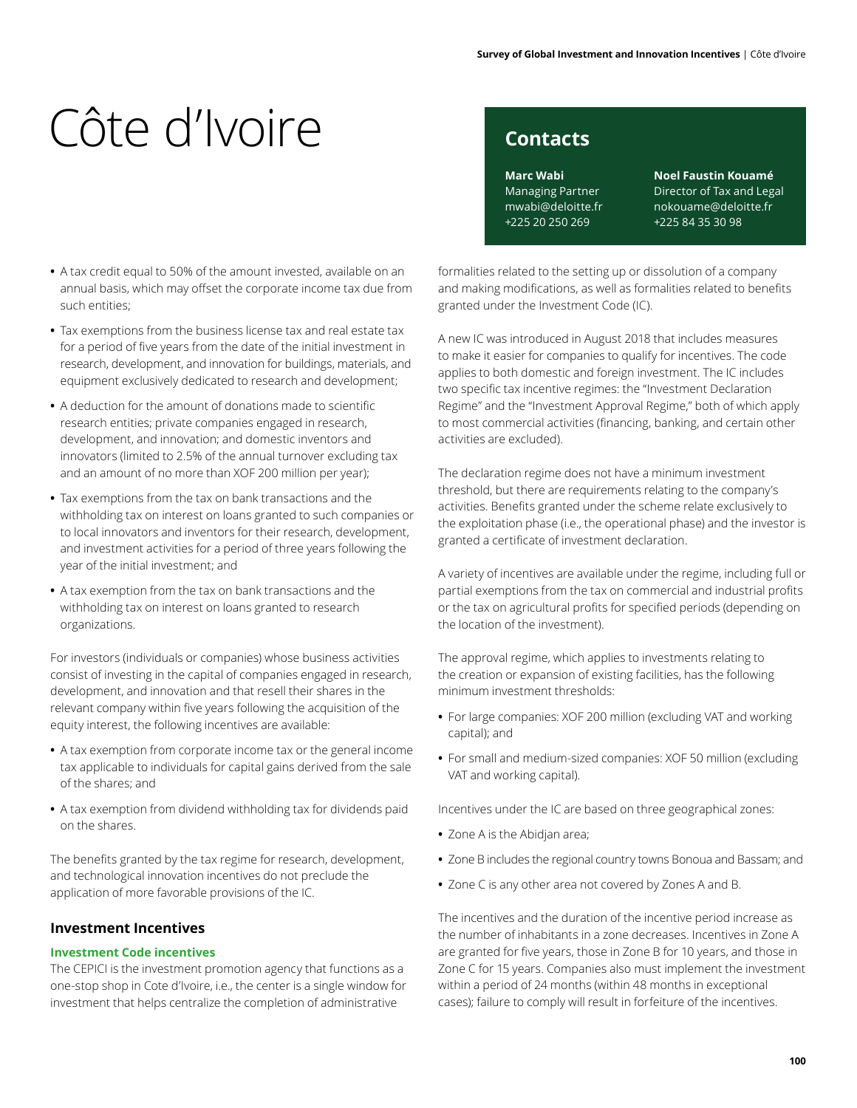# **Contacts**

**Marc Wabi** Managing Partner mwabi@deloitte.fr +225 20 250 269

**Noel Faustin Kouamé** Director of Tax and Legal nokouame@deloitte.fr +225 84 35 30 98

- **•** A tax credit equal to 50% of the amount invested, available on an annual basis, which may offset the corporate income tax due from such entities;
- **•** Tax exemptions from the business license tax and real estate tax for a period of five years from the date of the initial investment in research, development, and innovation for buildings, materials, and equipment exclusively dedicated to research and development;
- **•** A deduction for the amount of donations made to scientific research entities; private companies engaged in research, development, and innovation; and domestic inventors and innovators (limited to 2.5% of the annual turnover excluding tax and an amount of no more than XOF 200 million per year);
- **•** Tax exemptions from the tax on bank transactions and the withholding tax on interest on loans granted to such companies or to local innovators and inventors for their research, development, and investment activities for a period of three years following the year of the initial investment; and
- **•** A tax exemption from the tax on bank transactions and the withholding tax on interest on loans granted to research organizations.

For investors (individuals or companies) whose business activities consist of investing in the capital of companies engaged in research, development, and innovation and that resell their shares in the relevant company within five years following the acquisition of the equity interest, the following incentives are available:

- **•** A tax exemption from corporate income tax or the general income tax applicable to individuals for capital gains derived from the sale of the shares; and
- **•** A tax exemption from dividend withholding tax for dividends paid on the shares.

The benefits granted by the tax regime for research, development, and technological innovation incentives do not preclude the application of more favorable provisions of the IC.

## **Investment Incentives**

### **Investment Code incentives**

The CEPICI is the investment promotion agency that functions as a one-stop shop in Cote d'Ivoire, i.e., the center is a single window for investment that helps centralize the completion of administrative

formalities related to the setting up or dissolution of a company and making modifications, as well as formalities related to benefits granted under the Investment Code (IC).

A new IC was introduced in August 2018 that includes measures to make it easier for companies to qualify for incentives. The code applies to both domestic and foreign investment. The IC includes two specific tax incentive regimes: the "Investment Declaration Regime" and the "Investment Approval Regime," both of which apply to most commercial activities (financing, banking, and certain other activities are excluded).

The declaration regime does not have a minimum investment threshold, but there are requirements relating to the company's activities. Benefits granted under the scheme relate exclusively to the exploitation phase (i.e., the operational phase) and the investor is granted a certificate of investment declaration.

A variety of incentives are available under the regime, including full or partial exemptions from the tax on commercial and industrial profits or the tax on agricultural profits for specified periods (depending on the location of the investment).

The approval regime, which applies to investments relating to the creation or expansion of existing facilities, has the following minimum investment thresholds:

- **•** For large companies: XOF 200 million (excluding VAT and working capital); and
- **•** For small and medium-sized companies: XOF 50 million (excluding VAT and working capital).

Incentives under the IC are based on three geographical zones:

- **•** Zone A is the Abidjan area;
- **•** Zone B includes the regional country towns Bonoua and Bassam; and
- **•** Zone C is any other area not covered by Zones A and B.

The incentives and the duration of the incentive period increase as the number of inhabitants in a zone decreases. Incentives in Zone A are granted for five years, those in Zone B for 10 years, and those in Zone C for 15 years. Companies also must implement the investment within a period of 24 months (within 48 months in exceptional cases); failure to comply will result in forfeiture of the incentives.